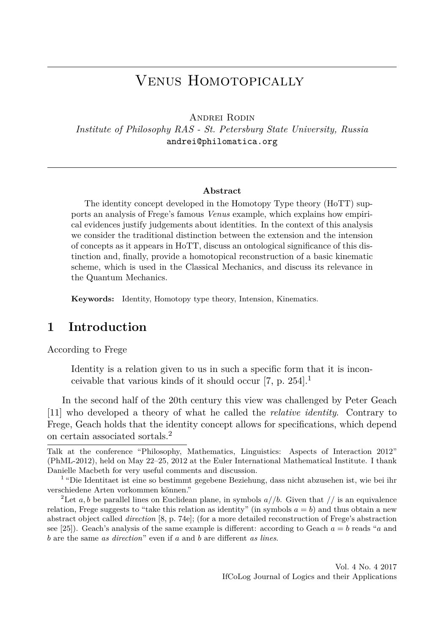# Venus Homotopically

Andrei Rodin

*Institute of Philosophy RAS - St. Petersburg State University, Russia* andrei@philomatica.org

#### **Abstract**

The identity concept developed in the Homotopy Type theory (HoTT) supports an analysis of Frege's famous *Venus* example, which explains how empirical evidences justify judgements about identities. In the context of this analysis we consider the traditional distinction between the extension and the intension of concepts as it appears in HoTT, discuss an ontological significance of this distinction and, finally, provide a homotopical reconstruction of a basic kinematic scheme, which is used in the Classical Mechanics, and discuss its relevance in the Quantum Mechanics.

**Keywords:** Identity, Homotopy type theory, Intension, Kinematics.

# **1 Introduction**

According to Frege

Identity is a relation given to us in such a specific form that it is inconceivable that various kinds of it should occur  $[7, p. 254]$ .

In the second half of the 20th century this view was challenged by Peter Geach [11] who developed a theory of what he called the *relative identity*. Contrary to Frege, Geach holds that the identity concept allows for specifications, which depend on certain associated sortals.<sup>2</sup>

Talk at the conference "Philosophy, Mathematics, Linguistics: Aspects of Interaction 2012" (PhML-2012), held on May 22–25, 2012 at the Euler International Mathematical Institute. I thank Danielle Macbeth for very useful comments and discussion.

<sup>&</sup>lt;sup>1</sup> "Die Identitaet ist eine so bestimmt gegebene Beziehung, dass nicht abzusehen ist, wie bei ihr verschiedene Arten vorkommen können."

<sup>&</sup>lt;sup>2</sup>Let *a, b* be parallel lines on Euclidean plane, in symbols  $a//b$ . Given that // is an equivalence relation, Frege suggests to "take this relation as identity" (in symbols  $a = b$ ) and thus obtain a new abstract object called *direction* [8, p. 74e]; (for a more detailed reconstruction of Frege's abstraction see [25]). Geach's analysis of the same example is different: according to Geach  $a = b$  reads "a and *b* are the same *as direction*" even if *a* and *b* are different *as lines*.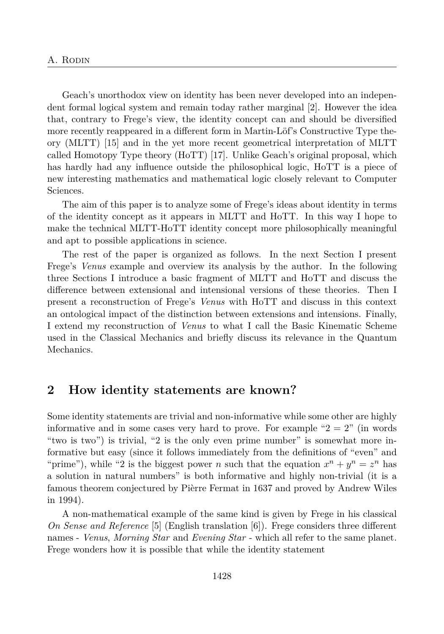Geach's unorthodox view on identity has been never developed into an independent formal logical system and remain today rather marginal [2]. However the idea that, contrary to Frege's view, the identity concept can and should be diversified more recently reappeared in a different form in Martin-Löf's Constructive Type theory (MLTT) [15] and in the yet more recent geometrical interpretation of MLTT called Homotopy Type theory (HoTT) [17]. Unlike Geach's original proposal, which has hardly had any influence outside the philosophical logic, HoTT is a piece of new interesting mathematics and mathematical logic closely relevant to Computer Sciences.

The aim of this paper is to analyze some of Frege's ideas about identity in terms of the identity concept as it appears in MLTT and HoTT. In this way I hope to make the technical MLTT-HoTT identity concept more philosophically meaningful and apt to possible applications in science.

The rest of the paper is organized as follows. In the next Section I present Frege's *Venus* example and overview its analysis by the author. In the following three Sections I introduce a basic fragment of MLTT and HoTT and discuss the difference between extensional and intensional versions of these theories. Then I present a reconstruction of Frege's *Venus* with HoTT and discuss in this context an ontological impact of the distinction between extensions and intensions. Finally, I extend my reconstruction of *Venus* to what I call the Basic Kinematic Scheme used in the Classical Mechanics and briefly discuss its relevance in the Quantum Mechanics.

#### **2 How identity statements are known?**

Some identity statements are trivial and non-informative while some other are highly informative and in some cases very hard to prove. For example " $2 = 2$ " (in words "two is two") is trivial, "2 is the only even prime number" is somewhat more informative but easy (since it follows immediately from the definitions of "even" and "prime"), while "2 is the biggest power *n* such that the equation  $x^n + y^n = z^n$  has a solution in natural numbers" is both informative and highly non-trivial (it is a famous theorem conjectured by Pièrre Fermat in 1637 and proved by Andrew Wiles in 1994).

A non-mathematical example of the same kind is given by Frege in his classical *On Sense and Reference* [5] (English translation [6]). Frege considers three different names - *Venus*, *Morning Star* and *Evening Star* - which all refer to the same planet. Frege wonders how it is possible that while the identity statement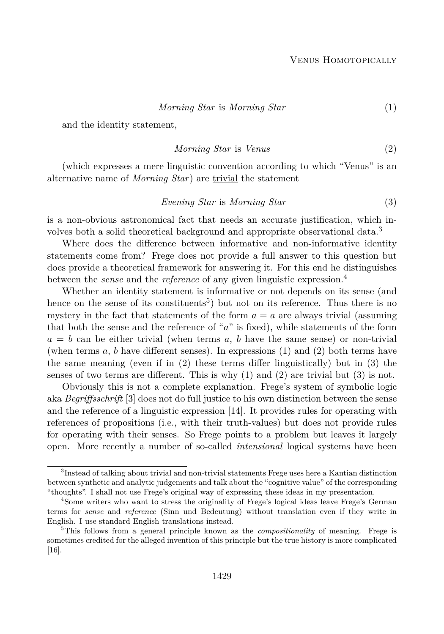$$
Morning\ Star\ is\ Morning\ Star\tag{1}
$$

and the identity statement,

$$
Morning\ Star\ is\ Venus
$$
\n<sup>(2)</sup>

(which expresses a mere linguistic convention according to which "Venus" is an alternative name of *Morning Star*) are trivial the statement

$$
Evening\ Star\ is\ Morning\ Star\tag{3}
$$

is a non-obvious astronomical fact that needs an accurate justification, which involves both a solid theoretical background and appropriate observational data.<sup>3</sup>

Where does the difference between informative and non-informative identity statements come from? Frege does not provide a full answer to this question but does provide a theoretical framework for answering it. For this end he distinguishes between the *sense* and the *reference* of any given linguistic expression.<sup>4</sup>

Whether an identity statement is informative or not depends on its sense (and hence on the sense of its constituents<sup>5</sup>) but not on its reference. Thus there is no mystery in the fact that statements of the form  $a = a$  are always trivial (assuming that both the sense and the reference of "*a*" is fixed), while statements of the form  $a = b$  can be either trivial (when terms  $a, b$  have the same sense) or non-trivial (when terms *a*, *b* have different senses). In expressions (1) and (2) both terms have the same meaning (even if in (2) these terms differ linguistically) but in (3) the senses of two terms are different. This is why  $(1)$  and  $(2)$  are trivial but  $(3)$  is not.

Obviously this is not a complete explanation. Frege's system of symbolic logic aka *Begriffsschrift* [3] does not do full justice to his own distinction between the sense and the reference of a linguistic expression [14]. It provides rules for operating with references of propositions (i.e., with their truth-values) but does not provide rules for operating with their senses. So Frege points to a problem but leaves it largely open. More recently a number of so-called *intensional* logical systems have been

<sup>&</sup>lt;sup>3</sup>Instead of talking about trivial and non-trivial statements Frege uses here a Kantian distinction between synthetic and analytic judgements and talk about the "cognitive value" of the corresponding "thoughts". I shall not use Frege's original way of expressing these ideas in my presentation.

<sup>4</sup>Some writers who want to stress the originality of Frege's logical ideas leave Frege's German terms for *sense* and *reference* (Sinn und Bedeutung) without translation even if they write in English. I use standard English translations instead.

<sup>5</sup>This follows from a general principle known as the *compositionality* of meaning. Frege is sometimes credited for the alleged invention of this principle but the true history is more complicated [16].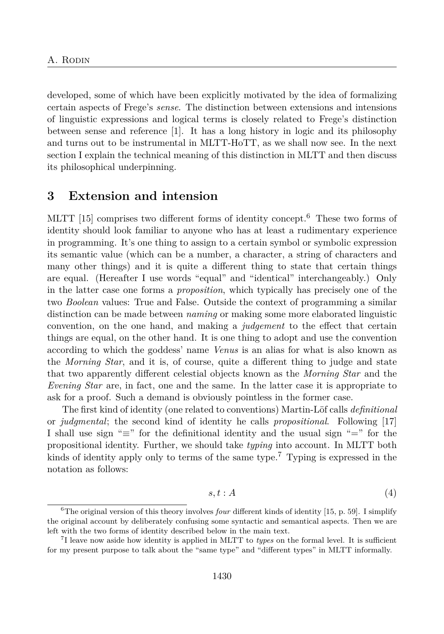developed, some of which have been explicitly motivated by the idea of formalizing certain aspects of Frege's *sense*. The distinction between extensions and intensions of linguistic expressions and logical terms is closely related to Frege's distinction between sense and reference [1]. It has a long history in logic and its philosophy and turns out to be instrumental in MLTT-HoTT, as we shall now see. In the next section I explain the technical meaning of this distinction in MLTT and then discuss its philosophical underpinning.

### **3 Extension and intension**

MLTT [15] comprises two different forms of identity concept.<sup>6</sup> These two forms of identity should look familiar to anyone who has at least a rudimentary experience in programming. It's one thing to assign to a certain symbol or symbolic expression its semantic value (which can be a number, a character, a string of characters and many other things) and it is quite a different thing to state that certain things are equal. (Hereafter I use words "equal" and "identical" interchangeably.) Only in the latter case one forms a *proposition*, which typically has precisely one of the two *Boolean* values: True and False. Outside the context of programming a similar distinction can be made between *naming* or making some more elaborated linguistic convention, on the one hand, and making a *judgement* to the effect that certain things are equal, on the other hand. It is one thing to adopt and use the convention according to which the goddess' name *Venus* is an alias for what is also known as the *Morning Star*, and it is, of course, quite a different thing to judge and state that two apparently different celestial objects known as the *Morning Star* and the *Evening Star* are, in fact, one and the same. In the latter case it is appropriate to ask for a proof. Such a demand is obviously pointless in the former case.

The first kind of identity (one related to conventions) Martin-Löf calls *definitional* or *judgmental*; the second kind of identity he calls *propositional*. Following [17] I shall use sign " $\equiv$ " for the definitional identity and the usual sign " $\equiv$ " for the propositional identity. Further, we should take *typing* into account. In MLTT both kinds of identity apply only to terms of the same type.<sup>7</sup> Typing is expressed in the notation as follows:

$$
s, t : A \tag{4}
$$

<sup>6</sup>The original version of this theory involves *four* different kinds of identity [15, p. 59]. I simplify the original account by deliberately confusing some syntactic and semantical aspects. Then we are left with the two forms of identity described below in the main text.

<sup>7</sup> I leave now aside how identity is applied in MLTT to *types* on the formal level. It is sufficient for my present purpose to talk about the "same type" and "different types" in MLTT informally.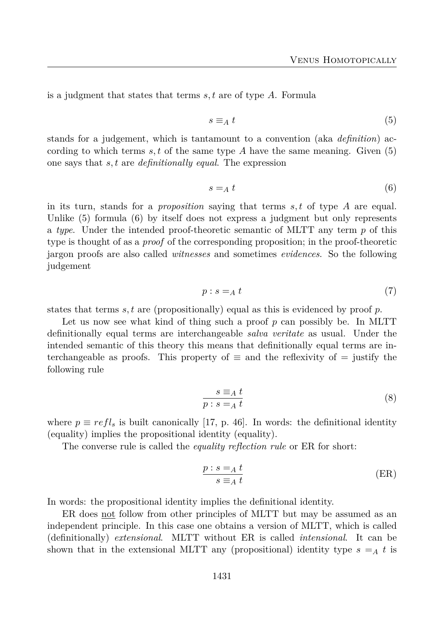is a judgment that states that terms *s, t* are of type *A*. Formula

$$
s \equiv_A t \tag{5}
$$

stands for a judgement, which is tantamount to a convention (aka *definition*) according to which terms  $s, t$  of the same type  $A$  have the same meaning. Given  $(5)$ one says that *s, t* are *definitionally equal*. The expression

$$
s =_A t \tag{6}
$$

in its turn, stands for a *proposition* saying that terms *s, t* of type *A* are equal. Unlike (5) formula (6) by itself does not express a judgment but only represents a *type*. Under the intended proof-theoretic semantic of MLTT any term *p* of this type is thought of as a *proof* of the corresponding proposition; in the proof-theoretic jargon proofs are also called *witnesses* and sometimes *evidences*. So the following judgement

$$
p: s =_A t \tag{7}
$$

states that terms *s, t* are (propositionally) equal as this is evidenced by proof *p*.

Let us now see what kind of thing such a proof p can possibly be. In MLTT definitionally equal terms are interchangeable *salva veritate* as usual. Under the intended semantic of this theory this means that definitionally equal terms are interchangeable as proofs. This property of  $\equiv$  and the reflexivity of  $=$  justify the following rule

$$
\frac{s \equiv_A t}{p : s =_A t} \tag{8}
$$

where  $p \equiv refl_s$  is built canonically [17, p. 46]. In words: the definitional identity (equality) implies the propositional identity (equality).

The converse rule is called the *equality reflection rule* or ER for short:

$$
\frac{p:s=a\ t}{s\equiv_A t} \tag{ER}
$$

In words: the propositional identity implies the definitional identity.

ER does not follow from other principles of MLTT but may be assumed as an independent principle. In this case one obtains a version of MLTT, which is called (definitionally) *extensional*. MLTT without ER is called *intensional*. It can be shown that in the extensional MLTT any (propositional) identity type  $s = A t$  is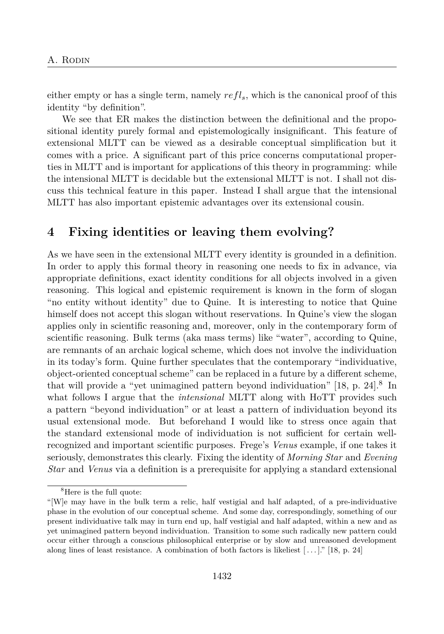either empty or has a single term, namely *refls*, which is the canonical proof of this identity "by definition".

We see that ER makes the distinction between the definitional and the propositional identity purely formal and epistemologically insignificant. This feature of extensional MLTT can be viewed as a desirable conceptual simplification but it comes with a price. A significant part of this price concerns computational properties in MLTT and is important for applications of this theory in programming: while the intensional MLTT is decidable but the extensional MLTT is not. I shall not discuss this technical feature in this paper. Instead I shall argue that the intensional MLTT has also important epistemic advantages over its extensional cousin.

### **4 Fixing identities or leaving them evolving?**

As we have seen in the extensional MLTT every identity is grounded in a definition. In order to apply this formal theory in reasoning one needs to fix in advance, via appropriate definitions, exact identity conditions for all objects involved in a given reasoning. This logical and epistemic requirement is known in the form of slogan "no entity without identity" due to Quine. It is interesting to notice that Quine himself does not accept this slogan without reservations. In Quine's view the slogan applies only in scientific reasoning and, moreover, only in the contemporary form of scientific reasoning. Bulk terms (aka mass terms) like "water", according to Quine, are remnants of an archaic logical scheme, which does not involve the individuation in its today's form. Quine further speculates that the contemporary "individuative, object-oriented conceptual scheme" can be replaced in a future by a different scheme, that will provide a "yet unimagined pattern beyond individuation" [18, p. 24].<sup>8</sup> In what follows I argue that the *intensional* MLTT along with HoTT provides such a pattern "beyond individuation" or at least a pattern of individuation beyond its usual extensional mode. But beforehand I would like to stress once again that the standard extensional mode of individuation is not sufficient for certain wellrecognized and important scientific purposes. Frege's *Venus* example, if one takes it seriously, demonstrates this clearly. Fixing the identity of *Morning Star* and *Evening Star* and *Venus* via a definition is a prerequisite for applying a standard extensional

<sup>&</sup>lt;sup>8</sup>Here is the full quote:

<sup>&</sup>quot;[W]e may have in the bulk term a relic, half vestigial and half adapted, of a pre-individuative phase in the evolution of our conceptual scheme. And some day, correspondingly, something of our present individuative talk may in turn end up, half vestigial and half adapted, within a new and as yet unimagined pattern beyond individuation. Transition to some such radically new pattern could occur either through a conscious philosophical enterprise or by slow and unreasoned development along lines of least resistance. A combination of both factors is likeliest  $[\,\ldots\,]$ ." [18, p. 24]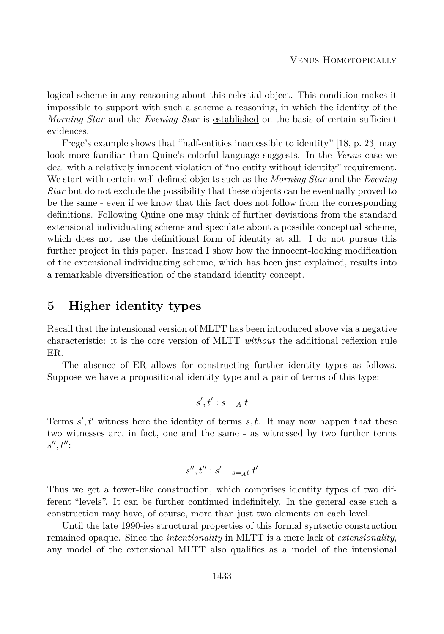logical scheme in any reasoning about this celestial object. This condition makes it impossible to support with such a scheme a reasoning, in which the identity of the *Morning Star* and the *Evening Star* is established on the basis of certain sufficient evidences.

Frege's example shows that "half-entities inaccessible to identity" [18, p. 23] may look more familiar than Quine's colorful language suggests. In the *Venus* case we deal with a relatively innocent violation of "no entity without identity" requirement. We start with certain well-defined objects such as the *Morning Star* and the *Evening Star* but do not exclude the possibility that these objects can be eventually proved to be the same - even if we know that this fact does not follow from the corresponding definitions. Following Quine one may think of further deviations from the standard extensional individuating scheme and speculate about a possible conceptual scheme, which does not use the definitional form of identity at all. I do not pursue this further project in this paper. Instead I show how the innocent-looking modification of the extensional individuating scheme, which has been just explained, results into a remarkable diversification of the standard identity concept.

## **5 Higher identity types**

Recall that the intensional version of MLTT has been introduced above via a negative characteristic: it is the core version of MLTT *without* the additional reflexion rule ER.

The absence of ER allows for constructing further identity types as follows. Suppose we have a propositional identity type and a pair of terms of this type:

$$
s',t':s=_At
$$

Terms  $s', t'$  witness here the identity of terms  $s, t$ . It may now happen that these two witnesses are, in fact, one and the same - as witnessed by two further terms *s*<sup>*n*</sup>, *t*<sup>*n*</sup>:

$$
s'',t'':s' =_{s=At} t'
$$

Thus we get a tower-like construction, which comprises identity types of two different "levels". It can be further continued indefinitely. In the general case such a construction may have, of course, more than just two elements on each level.

Until the late 1990-ies structural properties of this formal syntactic construction remained opaque. Since the *intentionality* in MLTT is a mere lack of *extensionality*, any model of the extensional MLTT also qualifies as a model of the intensional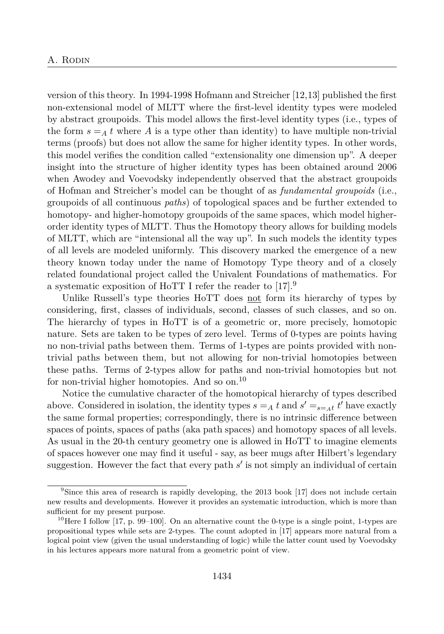version of this theory. In 1994-1998 Hofmann and Streicher [12,13] published the first non-extensional model of MLTT where the first-level identity types were modeled by abstract groupoids. This model allows the first-level identity types (i.e., types of the form  $s = A t$  where A is a type other than identity) to have multiple non-trivial terms (proofs) but does not allow the same for higher identity types. In other words, this model verifies the condition called "extensionality one dimension up". A deeper insight into the structure of higher identity types has been obtained around 2006 when Awodey and Voevodsky independently observed that the abstract groupoids of Hofman and Streicher's model can be thought of as *fundamental groupoids* (i.e., groupoids of all continuous *paths*) of topological spaces and be further extended to homotopy- and higher-homotopy groupoids of the same spaces, which model higherorder identity types of MLTT. Thus the Homotopy theory allows for building models of MLTT, which are "intensional all the way up". In such models the identity types of all levels are modeled uniformly. This discovery marked the emergence of a new theory known today under the name of Homotopy Type theory and of a closely related foundational project called the Univalent Foundations of mathematics. For a systematic exposition of HoTT I refer the reader to [17].<sup>9</sup>

Unlike Russell's type theories HoTT does not form its hierarchy of types by considering, first, classes of individuals, second, classes of such classes, and so on. The hierarchy of types in HoTT is of a geometric or, more precisely, homotopic nature. Sets are taken to be types of zero level. Terms of 0-types are points having no non-trivial paths between them. Terms of 1-types are points provided with nontrivial paths between them, but not allowing for non-trivial homotopies between these paths. Terms of 2-types allow for paths and non-trivial homotopies but not for non-trivial higher homotopies. And so on.<sup>10</sup>

Notice the cumulative character of the homotopical hierarchy of types described above. Considered in isolation, the identity types  $s = A$  *t* and  $s' = s = A$ <sup>*t*</sup> have exactly the same formal properties; correspondingly, there is no intrinsic difference between spaces of points, spaces of paths (aka path spaces) and homotopy spaces of all levels. As usual in the 20-th century geometry one is allowed in HoTT to imagine elements of spaces however one may find it useful - say, as beer mugs after Hilbert's legendary suggestion. However the fact that every path  $s'$  is not simply an individual of certain

<sup>&</sup>lt;sup>9</sup>Since this area of research is rapidly developing, the 2013 book [17] does not include certain new results and developments. However it provides an systematic introduction, which is more than sufficient for my present purpose.

<sup>&</sup>lt;sup>10</sup>Here I follow [17, p. 99–100]. On an alternative count the 0-type is a single point, 1-types are propositional types while sets are 2-types. The count adopted in [17] appears more natural from a logical point view (given the usual understanding of logic) while the latter count used by Voevodsky in his lectures appears more natural from a geometric point of view.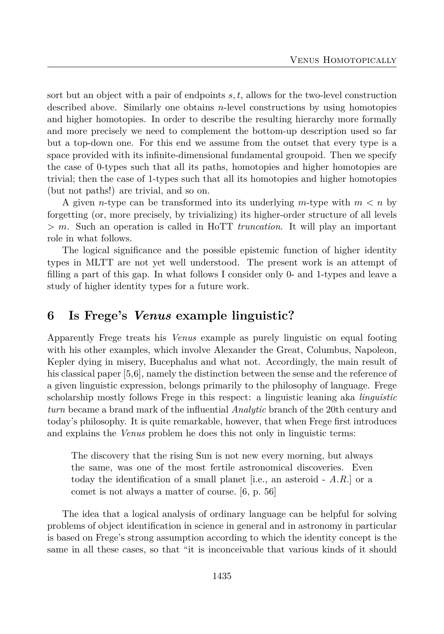sort but an object with a pair of endpoints *s, t*, allows for the two-level construction described above. Similarly one obtains *n*-level constructions by using homotopies and higher homotopies. In order to describe the resulting hierarchy more formally and more precisely we need to complement the bottom-up description used so far but a top-down one. For this end we assume from the outset that every type is a space provided with its infinite-dimensional fundamental groupoid. Then we specify the case of 0-types such that all its paths, homotopies and higher homotopies are trivial; then the case of 1-types such that all its homotopies and higher homotopies (but not paths!) are trivial, and so on.

A given *n*-type can be transformed into its underlying *m*-type with *m < n* by forgetting (or, more precisely, by trivializing) its higher-order structure of all levels *> m*. Such an operation is called in HoTT *truncation*. It will play an important role in what follows.

The logical significance and the possible epistemic function of higher identity types in MLTT are not yet well understood. The present work is an attempt of filling a part of this gap. In what follows I consider only 0- and 1-types and leave a study of higher identity types for a future work.

# **6 Is Frege's** *Venus* **example linguistic?**

Apparently Frege treats his *Venus* example as purely linguistic on equal footing with his other examples, which involve Alexander the Great, Columbus, Napoleon, Kepler dying in misery, Bucephalus and what not. Accordingly, the main result of his classical paper [5,6], namely the distinction between the sense and the reference of a given linguistic expression, belongs primarily to the philosophy of language. Frege scholarship mostly follows Frege in this respect: a linguistic leaning aka *linguistic turn* became a brand mark of the influential *Analytic* branch of the 20th century and today's philosophy. It is quite remarkable, however, that when Frege first introduces and explains the *Venus* problem he does this not only in linguistic terms:

The discovery that the rising Sun is not new every morning, but always the same, was one of the most fertile astronomical discoveries. Even today the identification of a small planet [i.e., an asteroid - *A.R.*] or a comet is not always a matter of course. [6, p. 56]

The idea that a logical analysis of ordinary language can be helpful for solving problems of object identification in science in general and in astronomy in particular is based on Frege's strong assumption according to which the identity concept is the same in all these cases, so that "it is inconceivable that various kinds of it should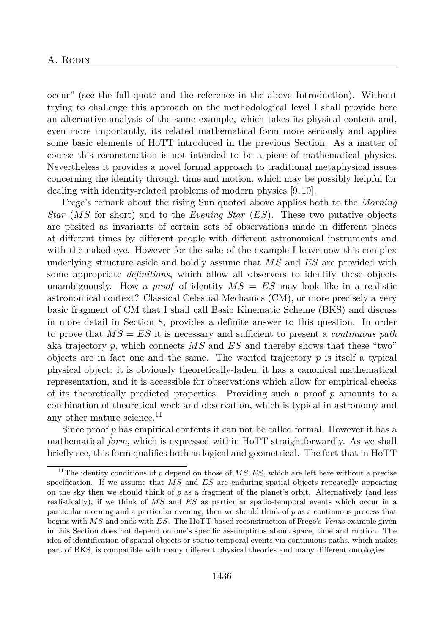occur" (see the full quote and the reference in the above Introduction). Without trying to challenge this approach on the methodological level I shall provide here an alternative analysis of the same example, which takes its physical content and, even more importantly, its related mathematical form more seriously and applies some basic elements of HoTT introduced in the previous Section. As a matter of course this reconstruction is not intended to be a piece of mathematical physics. Nevertheless it provides a novel formal approach to traditional metaphysical issues concerning the identity through time and motion, which may be possibly helpful for dealing with identity-related problems of modern physics [9, 10].

Frege's remark about the rising Sun quoted above applies both to the *Morning Star* (*MS* for short) and to the *Evening Star* (*ES*). These two putative objects are posited as invariants of certain sets of observations made in different places at different times by different people with different astronomical instruments and with the naked eye. However for the sake of the example I leave now this complex underlying structure aside and boldly assume that *MS* and *ES* are provided with some appropriate *definitions*, which allow all observers to identify these objects unambiguously. How a *proof* of identity *MS* = *ES* may look like in a realistic astronomical context? Classical Celestial Mechanics (CM), or more precisely a very basic fragment of CM that I shall call Basic Kinematic Scheme (BKS) and discuss in more detail in Section 8, provides a definite answer to this question. In order to prove that *MS* = *ES* it is necessary and sufficient to present a *continuous path* aka trajectory *p*, which connects *MS* and *ES* and thereby shows that these "two" objects are in fact one and the same. The wanted trajectory  $p$  is itself a typical physical object: it is obviously theoretically-laden, it has a canonical mathematical representation, and it is accessible for observations which allow for empirical checks of its theoretically predicted properties. Providing such a proof *p* amounts to a combination of theoretical work and observation, which is typical in astronomy and any other mature science.<sup>11</sup>

Since proof *p* has empirical contents it can not be called formal. However it has a mathematical *form*, which is expressed within HoTT straightforwardly. As we shall briefly see, this form qualifies both as logical and geometrical. The fact that in HoTT

<sup>&</sup>lt;sup>11</sup>The identity conditions of  $p$  depend on those of  $MS, ES$ , which are left here without a precise specification. If we assume that *MS* and *ES* are enduring spatial objects repeatedly appearing on the sky then we should think of  $p$  as a fragment of the planet's orbit. Alternatively (and less realistically), if we think of *MS* and *ES* as particular spatio-temporal events which occur in a particular morning and a particular evening, then we should think of *p* as a continuous process that begins with *MS* and ends with *ES*. The HoTT-based reconstruction of Frege's *Venus* example given in this Section does not depend on one's specific assumptions about space, time and motion. The idea of identification of spatial objects or spatio-temporal events via continuous paths, which makes part of BKS, is compatible with many different physical theories and many different ontologies.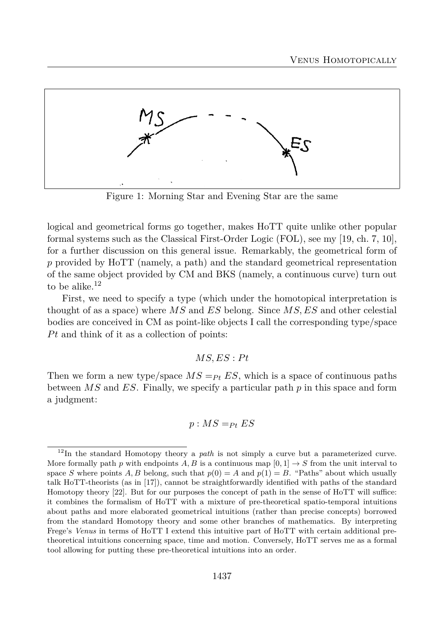

Figure 1: Morning Star and Evening Star are the same

logical and geometrical forms go together, makes HoTT quite unlike other popular formal systems such as the Classical First-Order Logic (FOL), see my [19, ch. 7, 10], for a further discussion on this general issue. Remarkably, the geometrical form of *p* provided by HoTT (namely, a path) and the standard geometrical representation of the same object provided by CM and BKS (namely, a continuous curve) turn out to be alike.<sup>12</sup>

First, we need to specify a type (which under the homotopical interpretation is thought of as a space) where *MS* and *ES* belong. Since *MS, ES* and other celestial bodies are conceived in CM as point-like objects I call the corresponding type/space *Pt* and think of it as a collection of points:

#### $MS, ES : Pt$

Then we form a new type/space  $MS =_{Pt} ES$ , which is a space of continuous paths between *MS* and *ES*. Finally, we specify a particular path *p* in this space and form a judgment:

$$
p: MS =_{Pt} ES
$$

<sup>12</sup>In the standard Homotopy theory a *path* is not simply a curve but a parameterized curve. More formally path *p* with endpoints *A, B* is a continuous map  $[0,1] \rightarrow S$  from the unit interval to space *S* where points *A, B* belong, such that  $p(0) = A$  and  $p(1) = B$ . "Paths" about which usually talk HoTT-theorists (as in [17]), cannot be straightforwardly identified with paths of the standard Homotopy theory [22]. But for our purposes the concept of path in the sense of HoTT will suffice: it combines the formalism of HoTT with a mixture of pre-theoretical spatio-temporal intuitions about paths and more elaborated geometrical intuitions (rather than precise concepts) borrowed from the standard Homotopy theory and some other branches of mathematics. By interpreting Frege's *Venus* in terms of HoTT I extend this intuitive part of HoTT with certain additional pretheoretical intuitions concerning space, time and motion. Conversely, HoTT serves me as a formal tool allowing for putting these pre-theoretical intuitions into an order.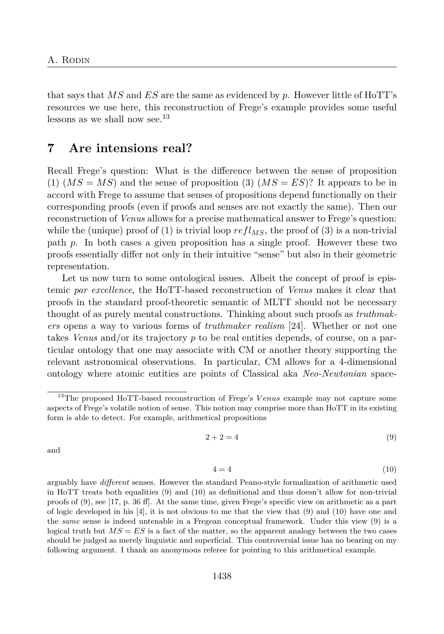that says that *MS* and *ES* are the same as evidenced by *p*. However little of HoTT's resources we use here, this reconstruction of Frege's example provides some useful lessons as we shall now see.<sup>13</sup>

# **7 Are intensions real?**

Recall Frege's question: What is the difference between the sense of proposition  $(1)$   $(MS = MS)$  and the sense of proposition  $(3)$   $(MS = ES)$ ? It appears to be in accord with Frege to assume that senses of propositions depend functionally on their corresponding proofs (even if proofs and senses are not exactly the same). Then our reconstruction of *Venus* allows for a precise mathematical answer to Frege's question: while the (unique) proof of (1) is trivial loop  $refl_{MS}$ , the proof of (3) is a non-trivial path *p*. In both cases a given proposition has a single proof. However these two proofs essentially differ not only in their intuitive "sense" but also in their geometric representation.

Let us now turn to some ontological issues. Albeit the concept of proof is epistemic *par excellence*, the HoTT-based reconstruction of *Venus* makes it clear that proofs in the standard proof-theoretic semantic of MLTT should not be necessary thought of as purely mental constructions. Thinking about such proofs as *truthmakers* opens a way to various forms of *truthmaker realism* [24]. Whether or not one takes *Venus* and/or its trajectory *p* to be real entities depends, of course, on a particular ontology that one may associate with CM or another theory supporting the relevant astronomical observations. In particular, CM allows for a 4-dimensional ontology where atomic entities are points of Classical aka *Neo-Newtonian* space-

$$
2 + 2 = 4 \tag{9}
$$

and

$$
4 = 4 \tag{10}
$$

arguably have *different* senses. However the standard Peano-style formalization of arithmetic used in HoTT treats both equalities (9) and (10) as definitional and thus doesn't allow for non-trivial proofs of (9), see [17, p. 36 ff]. At the same time, given Frege's specific view on arithmetic as a part of logic developed in his [4], it is not obvious to me that the view that (9) and (10) have one and the *same* sense is indeed untenable in a Fregean conceptual framework. Under this view (9) is a logical truth but  $MS = ES$  is a fact of the matter, so the apparent analogy between the two cases should be judged as merely linguistic and superficial. This controversial issue has no bearing on my following argument. I thank an anonymous referee for pointing to this arithmetical example.

<sup>&</sup>lt;sup>13</sup>The proposed HoTT-based reconstruction of Frege's *Venus* example may not capture some aspects of Frege's volatile notion of sense. This notion may comprise more than HoTT in its existing form is able to detect. For example, arithmetical propositions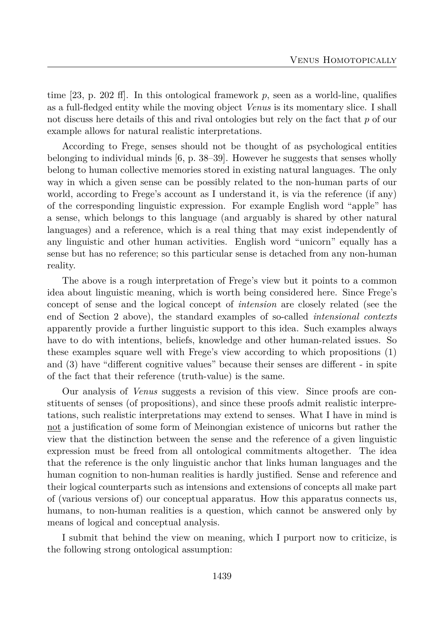time [23, p. 202 ff]. In this ontological framework *p*, seen as a world-line, qualifies as a full-fledged entity while the moving object *Venus* is its momentary slice. I shall not discuss here details of this and rival ontologies but rely on the fact that *p* of our example allows for natural realistic interpretations.

According to Frege, senses should not be thought of as psychological entities belonging to individual minds [6, p. 38–39]. However he suggests that senses wholly belong to human collective memories stored in existing natural languages. The only way in which a given sense can be possibly related to the non-human parts of our world, according to Frege's account as I understand it, is via the reference (if any) of the corresponding linguistic expression. For example English word "apple" has a sense, which belongs to this language (and arguably is shared by other natural languages) and a reference, which is a real thing that may exist independently of any linguistic and other human activities. English word "unicorn" equally has a sense but has no reference; so this particular sense is detached from any non-human reality.

The above is a rough interpretation of Frege's view but it points to a common idea about linguistic meaning, which is worth being considered here. Since Frege's concept of sense and the logical concept of *intension* are closely related (see the end of Section 2 above), the standard examples of so-called *intensional contexts* apparently provide a further linguistic support to this idea. Such examples always have to do with intentions, beliefs, knowledge and other human-related issues. So these examples square well with Frege's view according to which propositions (1) and (3) have "different cognitive values" because their senses are different - in spite of the fact that their reference (truth-value) is the same.

Our analysis of *Venus* suggests a revision of this view. Since proofs are constituents of senses (of propositions), and since these proofs admit realistic interpretations, such realistic interpretations may extend to senses. What I have in mind is not a justification of some form of Meinongian existence of unicorns but rather the view that the distinction between the sense and the reference of a given linguistic expression must be freed from all ontological commitments altogether. The idea that the reference is the only linguistic anchor that links human languages and the human cognition to non-human realities is hardly justified. Sense and reference and their logical counterparts such as intensions and extensions of concepts all make part of (various versions of) our conceptual apparatus. How this apparatus connects us, humans, to non-human realities is a question, which cannot be answered only by means of logical and conceptual analysis.

I submit that behind the view on meaning, which I purport now to criticize, is the following strong ontological assumption: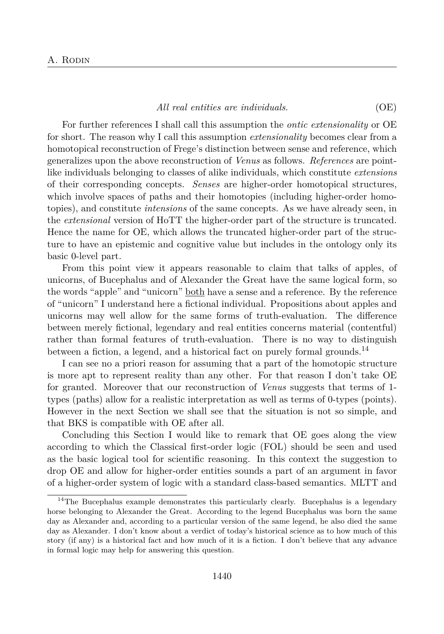#### *All real entities are individuals*. (OE)

For further references I shall call this assumption the *ontic extensionality* or OE for short. The reason why I call this assumption *extensionality* becomes clear from a homotopical reconstruction of Frege's distinction between sense and reference, which generalizes upon the above reconstruction of *Venus* as follows. *References* are pointlike individuals belonging to classes of alike individuals, which constitute *extensions* of their corresponding concepts. *Senses* are higher-order homotopical structures, which involve spaces of paths and their homotopies (including higher-order homotopies), and constitute *intensions* of the same concepts. As we have already seen, in the *extensional* version of HoTT the higher-order part of the structure is truncated. Hence the name for OE, which allows the truncated higher-order part of the structure to have an epistemic and cognitive value but includes in the ontology only its basic 0-level part.

From this point view it appears reasonable to claim that talks of apples, of unicorns, of Bucephalus and of Alexander the Great have the same logical form, so the words "apple" and "unicorn" <u>both</u> have a sense and a reference. By the reference of "unicorn" I understand here a fictional individual. Propositions about apples and unicorns may well allow for the same forms of truth-evaluation. The difference between merely fictional, legendary and real entities concerns material (contentful) rather than formal features of truth-evaluation. There is no way to distinguish between a fiction, a legend, and a historical fact on purely formal grounds.<sup>14</sup>

I can see no a priori reason for assuming that a part of the homotopic structure is more apt to represent reality than any other. For that reason I don't take OE for granted. Moreover that our reconstruction of *Venus* suggests that terms of 1 types (paths) allow for a realistic interpretation as well as terms of 0-types (points). However in the next Section we shall see that the situation is not so simple, and that BKS is compatible with OE after all.

Concluding this Section I would like to remark that OE goes along the view according to which the Classical first-order logic (FOL) should be seen and used as the basic logical tool for scientific reasoning. In this context the suggestion to drop OE and allow for higher-order entities sounds a part of an argument in favor of a higher-order system of logic with a standard class-based semantics. MLTT and

<sup>&</sup>lt;sup>14</sup>The Bucephalus example demonstrates this particularly clearly. Bucephalus is a legendary horse belonging to Alexander the Great. According to the legend Bucephalus was born the same day as Alexander and, according to a particular version of the same legend, he also died the same day as Alexander. I don't know about a verdict of today's historical science as to how much of this story (if any) is a historical fact and how much of it is a fiction. I don't believe that any advance in formal logic may help for answering this question.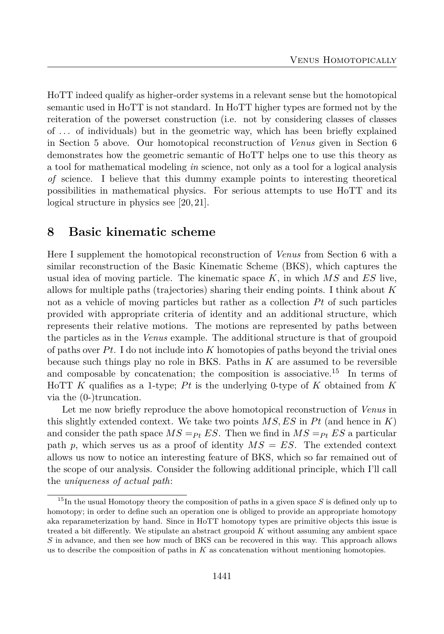HoTT indeed qualify as higher-order systems in a relevant sense but the homotopical semantic used in HoTT is not standard. In HoTT higher types are formed not by the reiteration of the powerset construction (i.e. not by considering classes of classes of *. . .* of individuals) but in the geometric way, which has been briefly explained in Section 5 above. Our homotopical reconstruction of *Venus* given in Section 6 demonstrates how the geometric semantic of HoTT helps one to use this theory as a tool for mathematical modeling *in* science, not only as a tool for a logical analysis *of* science. I believe that this dummy example points to interesting theoretical possibilities in mathematical physics. For serious attempts to use HoTT and its logical structure in physics see [20, 21].

#### **8 Basic kinematic scheme**

Here I supplement the homotopical reconstruction of *Venus* from Section 6 with a similar reconstruction of the Basic Kinematic Scheme (BKS), which captures the usual idea of moving particle. The kinematic space *K*, in which *MS* and *ES* live, allows for multiple paths (trajectories) sharing their ending points. I think about *K* not as a vehicle of moving particles but rather as a collection Pt of such particles provided with appropriate criteria of identity and an additional structure, which represents their relative motions. The motions are represented by paths between the particles as in the *Venus* example. The additional structure is that of groupoid of paths over *P t*. I do not include into *K* homotopies of paths beyond the trivial ones because such things play no role in BKS. Paths in *K* are assumed to be reversible and composable by concatenation; the composition is associative.<sup>15</sup> In terms of HoTT *K* qualifies as a 1-type; *P t* is the underlying 0-type of *K* obtained from *K* via the (0-)truncation.

Let me now briefly reproduce the above homotopical reconstruction of *Venus* in this slightly extended context. We take two points  $MS, ES$  in  $Pt$  (and hence in  $K$ ) and consider the path space  $MS = P_t ES$ . Then we find in  $MS = P_t ES$  a particular path *p*, which serves us as a proof of identity *MS* = *ES*. The extended context allows us now to notice an interesting feature of BKS, which so far remained out of the scope of our analysis. Consider the following additional principle, which I'll call the *uniqueness of actual path*:

<sup>&</sup>lt;sup>15</sup>In the usual Homotopy theory the composition of paths in a given space *S* is defined only up to homotopy; in order to define such an operation one is obliged to provide an appropriate homotopy aka reparameterization by hand. Since in HoTT homotopy types are primitive objects this issue is treated a bit differently. We stipulate an abstract groupoid *K* without assuming any ambient space *S* in advance, and then see how much of BKS can be recovered in this way. This approach allows us to describe the composition of paths in *K* as concatenation without mentioning homotopies.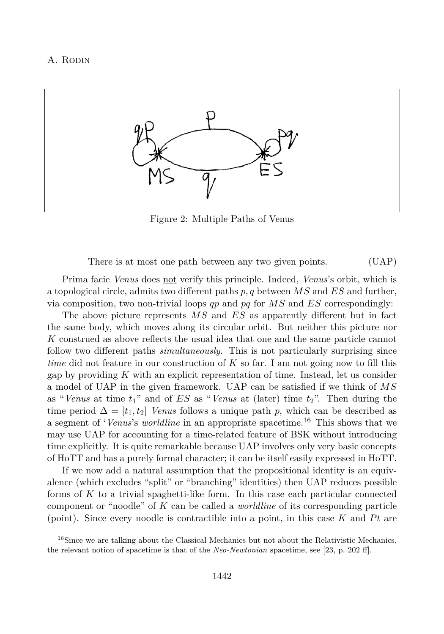

Figure 2: Multiple Paths of Venus

There is at most one path between any two given points. (UAP)

Prima facie *Venus* does not verify this principle. Indeed, *Venus*'s orbit, which is a topological circle, admits two different paths *p, q* between *MS* and *ES* and further, via composition, two non-trivial loops *qp* and *pq* for *MS* and *ES* correspondingly:

The above picture represents *MS* and *ES* as apparently different but in fact the same body, which moves along its circular orbit. But neither this picture nor *K* construed as above reflects the usual idea that one and the same particle cannot follow two different paths *simultaneously*. This is not particularly surprising since *time* did not feature in our construction of *K* so far. I am not going now to fill this gap by providing *K* with an explicit representation of time. Instead, let us consider a model of UAP in the given framework. UAP can be satisfied if we think of *MS* as "*Venus* at time *t*1" and of *ES* as "*Venus* at (later) time *t*2". Then during the time period  $\Delta = [t_1, t_2]$  *Venus* follows a unique path *p*, which can be described as a segment of '*Venus*'s *worldline* in an appropriate spacetime.<sup>16</sup> This shows that we may use UAP for accounting for a time-related feature of BSK without introducing time explicitly. It is quite remarkable because UAP involves only very basic concepts of HoTT and has a purely formal character; it can be itself easily expressed in HoTT.

If we now add a natural assumption that the propositional identity is an equivalence (which excludes "split" or "branching" identities) then UAP reduces possible forms of *K* to a trivial spaghetti-like form. In this case each particular connected component or "noodle" of *K* can be called a *worldline* of its corresponding particle (point). Since every noodle is contractible into a point, in this case  $K$  and  $Pt$  are

<sup>&</sup>lt;sup>16</sup>Since we are talking about the Classical Mechanics but not about the Relativistic Mechanics, the relevant notion of spacetime is that of the *Neo-Newtonian* spacetime, see [23, p. 202 ff].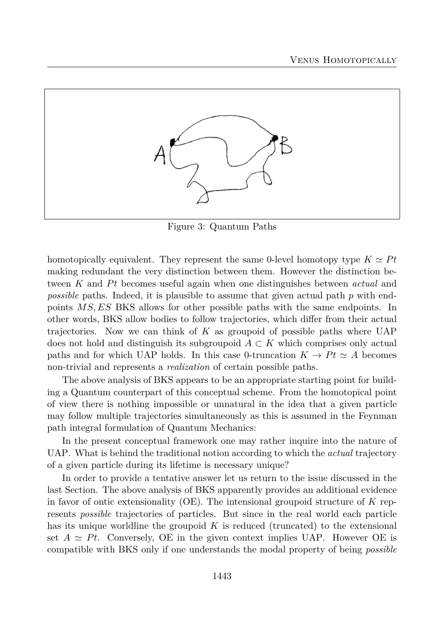

Figure 3: Quantum Paths

homotopically equivalent. They represent the same 0-level homotopy type  $K \simeq Pt$ making redundant the very distinction between them. However the distinction between K and Pt becomes useful again when one distinguishes between *actual* and *possible* paths. Indeed, it is plausible to assume that given actual path *p* with endpoints *MS, ES* BKS allows for other possible paths with the same endpoints. In other words, BKS allow bodies to follow trajectories, which differ from their actual trajectories. Now we can think of *K* as groupoid of possible paths where UAP does not hold and distinguish its subgroupoid *A* ⊂ *K* which comprises only actual paths and for which UAP holds. In this case 0-truncation  $K \to Pt \simeq A$  becomes non-trivial and represents a *realization* of certain possible paths.

The above analysis of BKS appears to be an appropriate starting point for building a Quantum counterpart of this conceptual scheme. From the homotopical point of view there is nothing impossible or unnatural in the idea that a given particle may follow multiple trajectories simultaneously as this is assumed in the Feynman path integral formulation of Quantum Mechanics:

In the present conceptual framework one may rather inquire into the nature of UAP. What is behind the traditional notion according to which the *actual* trajectory of a given particle during its lifetime is necessary unique?

In order to provide a tentative answer let us return to the issue discussed in the last Section. The above analysis of BKS apparently provides an additional evidence in favor of ontic extensionality (OE). The intensional groupoid structure of *K* represents *possible* trajectories of particles. But since in the real world each particle has its unique worldline the groupoid *K* is reduced (truncated) to the extensional set  $A \simeq Pt$ . Conversely, OE in the given context implies UAP. However OE is compatible with BKS only if one understands the modal property of being *possible*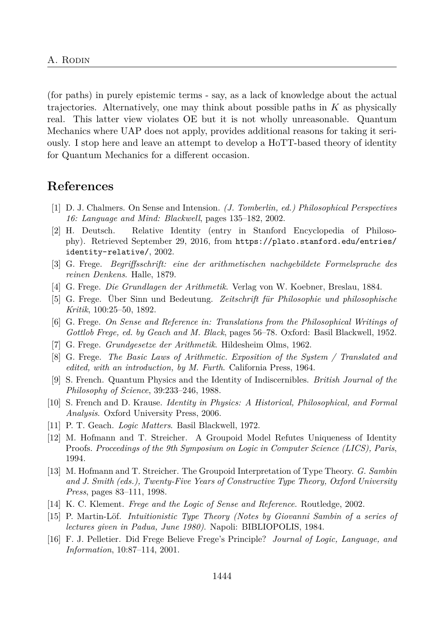(for paths) in purely epistemic terms - say, as a lack of knowledge about the actual trajectories. Alternatively, one may think about possible paths in *K* as physically real. This latter view violates OE but it is not wholly unreasonable. Quantum Mechanics where UAP does not apply, provides additional reasons for taking it seriously. I stop here and leave an attempt to develop a HoTT-based theory of identity for Quantum Mechanics for a different occasion.

## **References**

- [1] D. J. Chalmers. On Sense and Intension. *(J. Tomberlin, ed.) Philosophical Perspectives 16: Language and Mind: Blackwell*, pages 135–182, 2002.
- [2] H. Deutsch. Relative Identity (entry in Stanford Encyclopedia of Philosophy). Retrieved September 29, 2016, from https://plato.stanford.edu/entries/ identity-relative/, 2002.
- [3] G. Frege. *Begriffsschrift: eine der arithmetischen nachgebildete Formelsprache des reinen Denkens*. Halle, 1879.
- [4] G. Frege. *Die Grundlagen der Arithmetik*. Verlag von W. Koebner, Breslau, 1884.
- [5] G. Frege. Über Sinn und Bedeutung. *Zeitschrift für Philosophie und philosophische Kritik*, 100:25–50, 1892.
- [6] G. Frege. *On Sense and Reference in: Translations from the Philosophical Writings of Gottlob Frege, ed. by Geach and M. Black*, pages 56–78. Oxford: Basil Blackwell, 1952.
- [7] G. Frege. *Grundgesetze der Arithmetik*. Hildesheim Olms, 1962.
- [8] G. Frege. *The Basic Laws of Arithmetic. Exposition of the System / Translated and edited, with an introduction, by M. Furth*. California Press, 1964.
- [9] S. French. Quantum Physics and the Identity of Indiscernibles. *British Journal of the Philosophy of Science*, 39:233–246, 1988.
- [10] S. French and D. Krause. *Identity in Physics: A Historical, Philosophical, and Formal Analysis*. Oxford University Press, 2006.
- [11] P. T. Geach. *Logic Matters*. Basil Blackwell, 1972.
- [12] M. Hofmann and T. Streicher. A Groupoid Model Refutes Uniqueness of Identity Proofs. *Proceedings of the 9th Symposium on Logic in Computer Science (LICS), Paris*, 1994.
- [13] M. Hofmann and T. Streicher. The Groupoid Interpretation of Type Theory. *G. Sambin and J. Smith (eds.), Twenty-Five Years of Constructive Type Theory, Oxford University Press*, pages 83–111, 1998.
- [14] K. C. Klement. *Frege and the Logic of Sense and Reference*. Routledge, 2002.
- [15] P. Martin-Löf. *Intuitionistic Type Theory (Notes by Giovanni Sambin of a series of lectures given in Padua, June 1980)*. Napoli: BIBLIOPOLIS, 1984.
- [16] F. J. Pelletier. Did Frege Believe Frege's Principle? *Journal of Logic, Language, and Information*, 10:87–114, 2001.